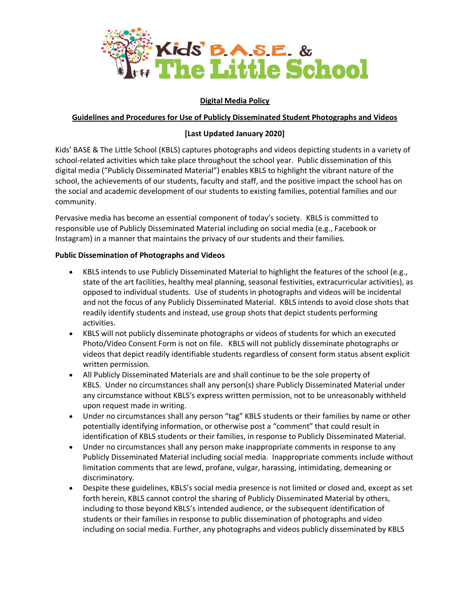

## **Digital Media Policy**

### **Guidelines and Procedures for Use of Publicly Disseminated Student Photographs and Videos**

# **[Last Updated January 2020]**

Kids' BASE & The Little School (KBLS) captures photographs and videos depicting students in a variety of school-related activities which take place throughout the school year. Public dissemination of this digital media ("Publicly Disseminated Material") enables KBLS to highlight the vibrant nature of the school, the achievements of our students, faculty and staff, and the positive impact the school has on the social and academic development of our students to existing families, potential families and our community.

Pervasive media has become an essential component of today's society. KBLS is committed to responsible use of Publicly Disseminated Material including on social media (e.g., Facebook or Instagram) in a manner that maintains the privacy of our students and their families.

### **Public Dissemination of Photographs and Videos**

- KBLS intends to use Publicly Disseminated Material to highlight the features of the school (e.g., state of the art facilities, healthy meal planning, seasonal festivities, extracurricular activities), as opposed to individual students. Use of students in photographs and videos will be incidental and not the focus of any Publicly Disseminated Material. KBLS intends to avoid close shots that readily identify students and instead, use group shots that depict students performing activities.
- KBLS will not publicly disseminate photographs or videos of students for which an executed Photo/Video Consent Form is not on file. KBLS will not publicly disseminate photographs or videos that depict readily identifiable students regardless of consent form status absent explicit written permission.
- All Publicly Disseminated Materials are and shall continue to be the sole property of KBLS. Under no circumstances shall any person(s) share Publicly Disseminated Material under any circumstance without KBLS's express written permission, not to be unreasonably withheld upon request made in writing.
- Under no circumstances shall any person "tag" KBLS students or their families by name or other potentially identifying information, or otherwise post a "comment" that could result in identification of KBLS students or their families, in response to Publicly Disseminated Material.
- Under no circumstances shall any person make inappropriate comments in response to any Publicly Disseminated Material including social media. Inappropriate comments include without limitation comments that are lewd, profane, vulgar, harassing, intimidating, demeaning or discriminatory.
- Despite these guidelines, KBLS's social media presence is not limited or closed and, except as set forth herein, KBLS cannot control the sharing of Publicly Disseminated Material by others, including to those beyond KBLS's intended audience, or the subsequent identification of students or their families in response to public dissemination of photographs and video including on social media. Further, any photographs and videos publicly disseminated by KBLS